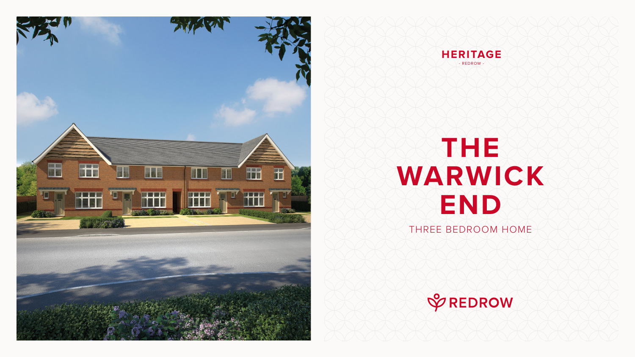## **THE WARWICK END** THREE BEDROOM HOME







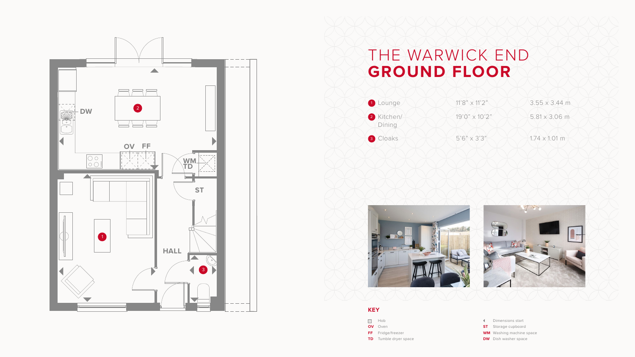

## THE WARWICK END **GROUND FLOOR**

- Dimensions start
- **ST** Storage cupboard
- **WM** Washing machine space
- **DW** Dish washer space







## **KEY**

- **SOO** Hob
- **OV** Oven
- **FF** Fridge/freezer
- **TD** Tumble dryer space